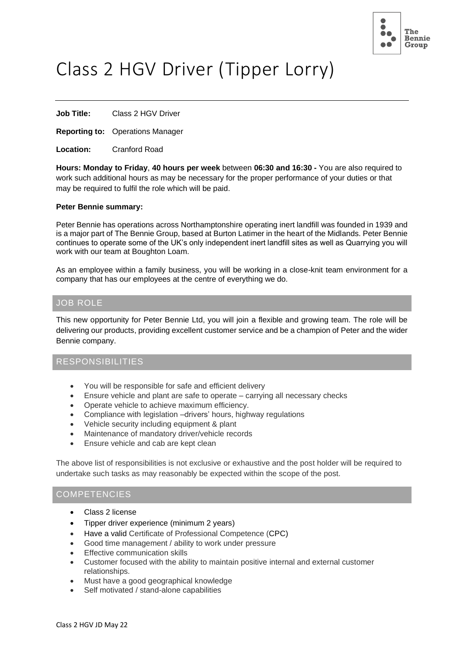

# Class 2 HGV Driver (Tipper Lorry)

**Job Title:** Class 2 HGV Driver

**Reporting to:** Operations Manager

**Location:** Cranford Road

**Hours: Monday to Friday**, **40 hours per week** between **06:30 and 16:30 -** You are also required to work such additional hours as may be necessary for the proper performance of your duties or that may be required to fulfil the role which will be paid.

#### **Peter Bennie summary:**

Peter Bennie has operations across Northamptonshire operating inert landfill was founded in 1939 and is a major part of The Bennie Group, based at Burton Latimer in the heart of the Midlands. Peter Bennie continues to operate some of the UK's only independent inert landfill sites as well as Quarrying you will work with our team at Boughton Loam.

As an employee within a family business, you will be working in a close-knit team environment for a company that has our employees at the centre of everything we do.

#### JOB ROLE

This new opportunity for Peter Bennie Ltd, you will join a flexible and growing team. The role will be delivering our products, providing excellent customer service and be a champion of Peter and the wider Bennie company.

#### RESPONSIBILITIES

- You will be responsible for safe and efficient delivery
- Ensure vehicle and plant are safe to operate carrying all necessary checks
- Operate vehicle to achieve maximum efficiency.
- Compliance with legislation –drivers' hours, highway regulations
- Vehicle security including equipment & plant
- Maintenance of mandatory driver/vehicle records
- Ensure vehicle and cab are kept clean

The above list of responsibilities is not exclusive or exhaustive and the post holder will be required to undertake such tasks as may reasonably be expected within the scope of the post.

### **COMPETENCIES**

- Class 2 license
- Tipper driver experience (minimum 2 years)
- Have a valid Certificate of Professional Competence (CPC)
- Good time management / ability to work under pressure
- **Effective communication skills**
- Customer focused with the ability to maintain positive internal and external customer relationships.
- Must have a good geographical knowledge
- Self motivated / stand-alone capabilities